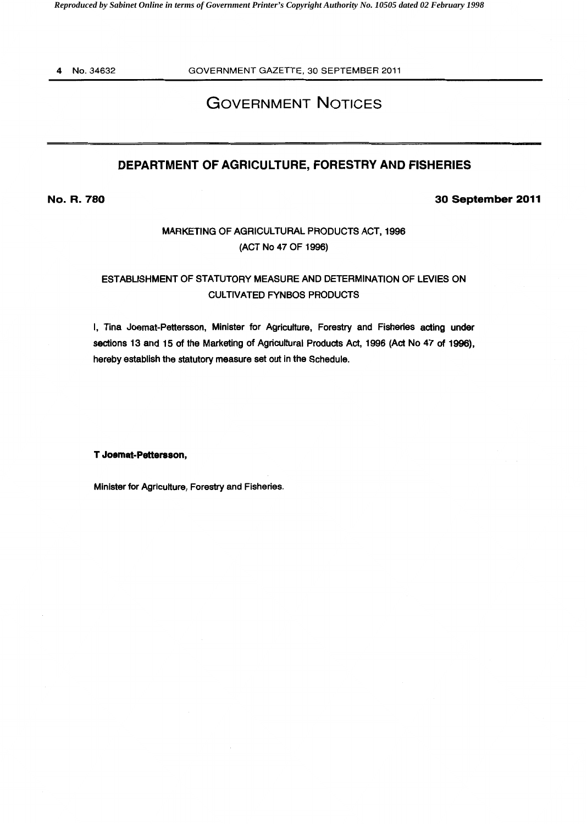4 No. 34632

GOVERNMENT GAZETTE, 30 SEPTEMBER 2011

# GOVERNMENT NOTICES

## DEPARTMENT OF AGRICULTURE, FORESTRY AND FISHERIES

No. R. 780

30 September 2011

## MARKETING OF AGRICULTURAL PRODUCTS ACT, 1996 (ACT No 47 OF 1996)

## ESTABLISHMENT OF STATUTORY MEASURE AND DETERMINATION OF LEVIES ON CULTIVATED FYNBOS PRODUCTS

I, Tina Joemat-Pettersson, Minister for Agriculture, Forestry and Fisheries acting under sections 13 and 15 of the Marketing of Agricultural Products Act, 1996 (Act No 47 of 1996), hereby establish the statutory measure set out in the Schedule.

T Joemat-Pettersson,

Minister for Agriculture, Forestry and Fisheries.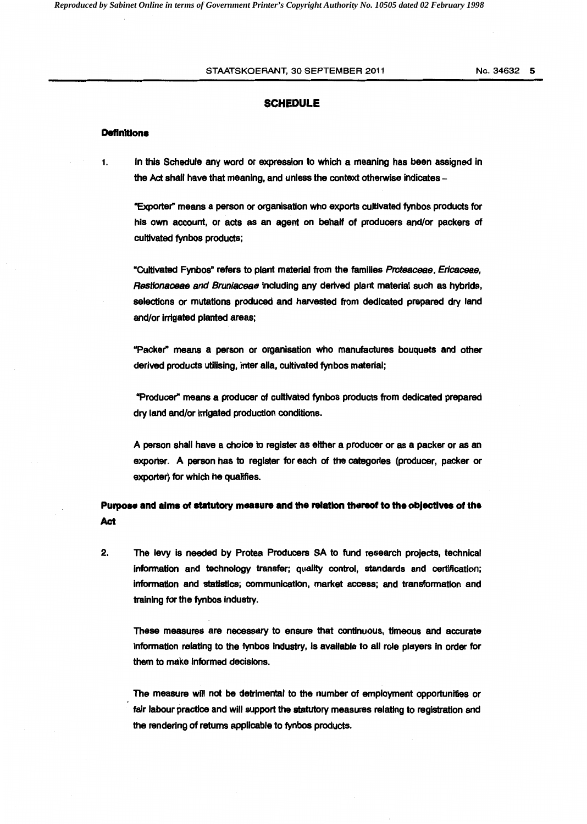#### STAATSKOERANT, 30 SEPTEMBER 2011 No. 34632 5

#### **SCHEDULE**

#### **Definitions**

1. In this Schedule any word or expression to which a meaning has been assigned in the Act shall have that meaning, and unless the context otherwise indicates -

•Exporter" means a person or organisation who exports cultivated fynbos products for his own account, or acts as an agent on behalf of producers and/or packers of cultivated fynbos products;

•cultivated Fynbos• refers to plant material from the families Proteaceae, Ericaceae, Restionaceae and Bruniaceae including any derived plant material such as hybrids, selections or mutations produced and harvested from dedicated prepared dry land and/or Irrigated planted areas;

"Packer" means a person or organisation who manufactures bouquets and other derived products utilising, inter alia, cultivated fynbos material;

•Producer" means a producer of cultivated fynbos products from dedicated prepared dry land and/or irrigated production conditions.

A person shall have a choice to register as either a producer or as a packer or as an exporter. A person has to register for each of the categories (producer, packer or exporter) for which he qualifies.

**Purpose and alma of statutory measure and the relation thereof to the obJectives of the**  Act

2. The levy Is needed by Protea Producers SA to fund research projects, technical Information and technology transfer; quality control, standards and certification; information and statistics; communication, market access; and transformation and training for the fynbos industry.

These measures are necessary to ensure that continuous, timeous and accurate Information relating to the fynbos Industry, is available to all role players in order for them to make informed decisions.

The measure will not be detrimental to the number of employment opportunities or fair labour practice and will support the statutory measures relating to registration and the rendering of returns applicable to fynbos products.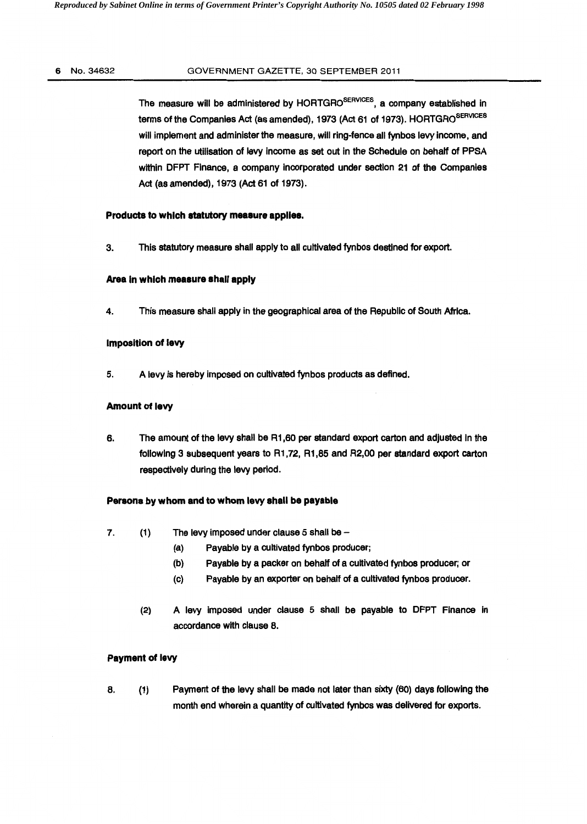#### 6 No. 34632 GOVERNMENT GAZETTE, 30 SEPTEMBER 2011

The measure will be administered by HORTGRO<sup>SERVICES</sup>, a company established in terms of the Companies Act (as amended), 1973 (Act 61 of 1973). HORTGRO<sup>SERVICES</sup> will implement and administer the measure, will ring-fence all fynbos levy income, and report on the utilisation of levy income as set out in the Schedule on behalf of PPSA within DFPT Finance, a company incorporated under section 21 of the Companies Act (as amended), 1973 (Act 61 of 1973).

#### Products to which statutory measure applies.

3. This statutory measure shall apply to all cultivated fynbos destined for export.

### Area In which measure shall apply

4. This measure shall apply in the geographical area of the Republic of South Africa.

#### Imposition of levy

5. A levy is hereby imposed on cultivated fynbos products as defined.

#### Amount of levy

6. The amount of the levy shall be R1 ,60 per standard export carton and adjusted In the following 3 subsequent years to R1 ,72, R1 ,85 and R2,00 per standard export carton respectively during the levy period.

#### Persons by whom and to whom levy shall be payable

- 7.  $(1)$  The levy imposed under clause 5 shall be  $-$ 
	- (a) Payable by a cultivated fynbos producer;
		- (b) Payable by a packer on behalf of a cultivated fynbos producer; or
	- (c) Payable by an exporter on behalf of a cultivated fynbos producer.
	- (2) A levy imposed under clause 5 shall be payable to DFPT Finance in accordance with clause 8.

#### Payment of levy

8. (1) Payment of the levy shall be made not later than sixty (60) days following the month end wherein a quantity of cultivated fynbos was delivered for exports.